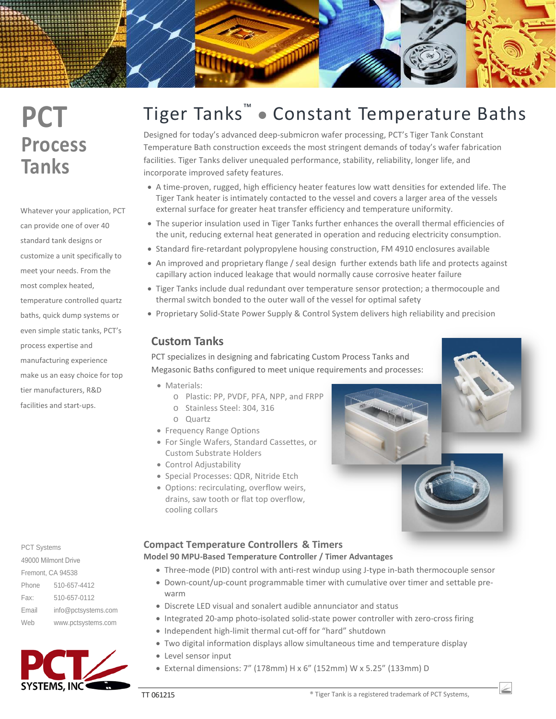# **PCT Process Tanks**

Whatever your application, PCT can provide one of over 40 standard tank designs or customize a unit specifically to meet your needs. From the most complex heated, temperature controlled quartz baths, quick dump systems or even simple static tanks, PCT's process expertise and manufacturing experience make us an easy choice for top tier manufacturers, R&D facilities and start-ups.

Phone 510-657-4412 Fax: 510-657-0112 Email info@pctsystems.com Web www.pctsystems.com PCT Systems 49000 Milmont Drive Fremont, CA 94538

# **SYSTEMS, INC**

# Tiger Tanks™ Constant Temperature Baths

Designed for today's advanced deep-submicron wafer processing, PCT's Tiger Tank Constant Temperature Bath construction exceeds the most stringent demands of today's wafer fabrication facilities. Tiger Tanks deliver unequaled performance, stability, reliability, longer life, and incorporate improved safety features.

- A time-proven, rugged, high efficiency heater features low watt densities for extended life. The Tiger Tank heater is intimately contacted to the vessel and covers a larger area of the vessels external surface for greater heat transfer efficiency and temperature uniformity.
- The superior insulation used in Tiger Tanks further enhances the overall thermal efficiencies of the unit, reducing external heat generated in operation and reducing electricity consumption.
- Standard fire-retardant polypropylene housing construction, FM 4910 enclosures available
- An improved and proprietary flange / seal design further extends bath life and protects against capillary action induced leakage that would normally cause corrosive heater failure
- Tiger Tanks include dual redundant over temperature sensor protection; a thermocouple and thermal switch bonded to the outer wall of the vessel for optimal safety
- Proprietary Solid-State Power Supply & Control System delivers high reliability and precision

# **Custom Tanks**

PCT specializes in designing and fabricating Custom Process Tanks and Megasonic Baths configured to meet unique requirements and processes:

- Materials:
	- o Plastic: PP, PVDF, PFA, NPP, and FRPP
	- o Stainless Steel: 304, 316
	- o Quartz
- Frequency Range Options
- For Single Wafers, Standard Cassettes, or Custom Substrate Holders
- Control Adjustability
- Special Processes: QDR, Nitride Etch
- Options: recirculating, overflow weirs, drains, saw tooth or flat top overflow, cooling collars

## **Compact Temperature Controllers & Timers**

#### **Model 90 MPU-Based Temperature Controller / Timer Advantages**

- Three-mode (PID) control with anti-rest windup using J-type in-bath thermocouple sensor
- Down-count/up-count programmable timer with cumulative over timer and settable prewarm
- Discrete LED visual and sonalert audible annunciator and status
- Integrated 20-amp photo-isolated solid-state power controller with zero-cross firing
- Independent high-limit thermal cut-off for "hard" shutdown
- Two digital information displays allow simultaneous time and temperature display
- Level sensor input
- External dimensions: 7" (178mm) H x 6" (152mm) W x 5.25" (133mm) D